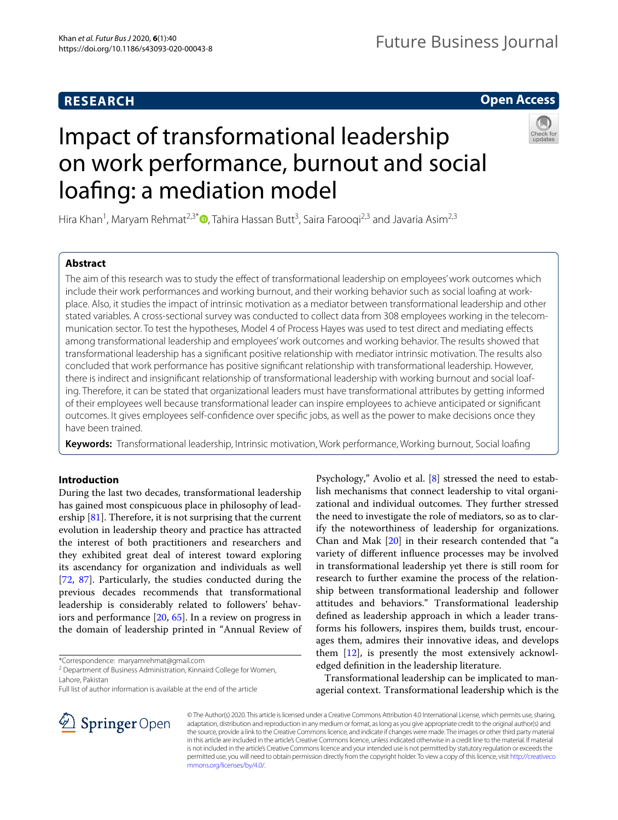# **RESEARCH**

# **Open Access**



# Impact of transformational leadership on work performance, burnout and social loafng: a mediation model

Hira Khan<sup>1</sup>[,](http://orcid.org/0000-0002-3377-0082) Maryam Rehmat<sup>2,3\*</sup>®, Tahira Hassan Butt<sup>3</sup>, Saira Farooqi<sup>2,3</sup> and Javaria Asim<sup>2,3</sup>

# **Abstract**

The aim of this research was to study the effect of transformational leadership on employees' work outcomes which include their work performances and working burnout, and their working behavior such as social loafng at workplace. Also, it studies the impact of intrinsic motivation as a mediator between transformational leadership and other stated variables. A cross-sectional survey was conducted to collect data from 308 employees working in the telecommunication sector. To test the hypotheses, Model 4 of Process Hayes was used to test direct and mediating efects among transformational leadership and employees' work outcomes and working behavior. The results showed that transformational leadership has a signifcant positive relationship with mediator intrinsic motivation. The results also concluded that work performance has positive signifcant relationship with transformational leadership. However, there is indirect and insignifcant relationship of transformational leadership with working burnout and social loafing. Therefore, it can be stated that organizational leaders must have transformational attributes by getting informed of their employees well because transformational leader can inspire employees to achieve anticipated or signifcant outcomes. It gives employees self-confdence over specifc jobs, as well as the power to make decisions once they have been trained.

**Keywords:** Transformational leadership, Intrinsic motivation, Work performance, Working burnout, Social loafng

# **Introduction**

During the last two decades, transformational leadership has gained most conspicuous place in philosophy of leadership [\[81](#page-12-0)]. Therefore, it is not surprising that the current evolution in leadership theory and practice has attracted the interest of both practitioners and researchers and they exhibited great deal of interest toward exploring its ascendancy for organization and individuals as well [[72,](#page-11-0) [87\]](#page-12-1). Particularly, the studies conducted during the previous decades recommends that transformational leadership is considerably related to followers' behaviors and performance [[20,](#page-10-0) [65](#page-11-1)]. In a review on progress in the domain of leadership printed in "Annual Review of



Transformational leadership can be implicated to managerial context. Transformational leadership which is the



© The Author(s) 2020. This article is licensed under a Creative Commons Attribution 4.0 International License, which permits use, sharing, adaptation, distribution and reproduction in any medium or format, as long as you give appropriate credit to the original author(s) and the source, provide a link to the Creative Commons licence, and indicate if changes were made. The images or other third party material in this article are included in the article's Creative Commons licence, unless indicated otherwise in a credit line to the material. If material is not included in the article's Creative Commons licence and your intended use is not permitted by statutory regulation or exceeds the permitted use, you will need to obtain permission directly from the copyright holder. To view a copy of this licence, visit [http://creativeco](http://creativecommons.org/licenses/by/4.0/) [mmons.org/licenses/by/4.0/.](http://creativecommons.org/licenses/by/4.0/)

<sup>\*</sup>Correspondence: maryamrehmat@gmail.com

<sup>&</sup>lt;sup>2</sup> Department of Business Administration, Kinnaird College for Women, Lahore, Pakistan

Full list of author information is available at the end of the article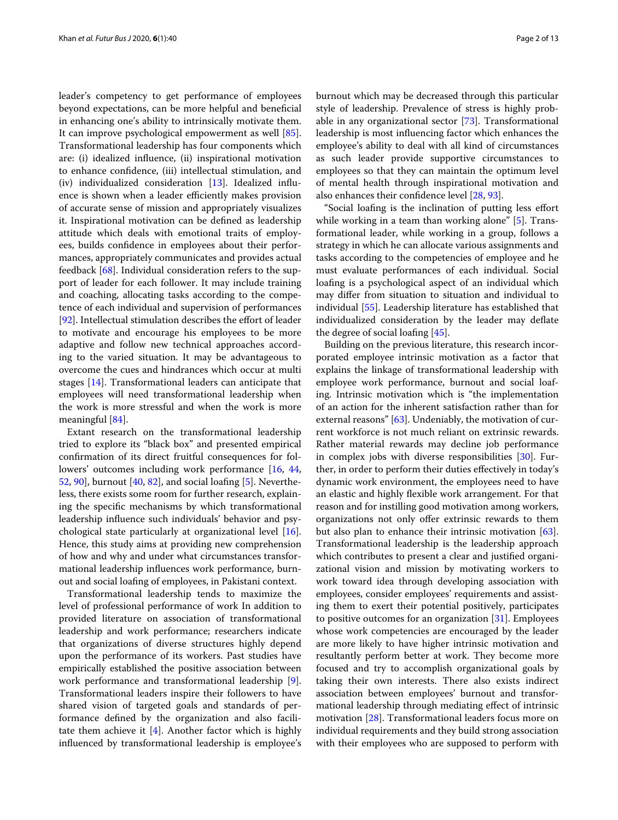leader's competency to get performance of employees beyond expectations, can be more helpful and benefcial in enhancing one's ability to intrinsically motivate them. It can improve psychological empowerment as well [\[85](#page-12-2)]. Transformational leadership has four components which are: (i) idealized infuence, (ii) inspirational motivation to enhance confdence, (iii) intellectual stimulation, and (iv) individualized consideration [\[13](#page-10-3)]. Idealized infuence is shown when a leader efficiently makes provision of accurate sense of mission and appropriately visualizes it. Inspirational motivation can be defned as leadership attitude which deals with emotional traits of employees, builds confdence in employees about their performances, appropriately communicates and provides actual feedback [[68\]](#page-11-2). Individual consideration refers to the support of leader for each follower. It may include training and coaching, allocating tasks according to the competence of each individual and supervision of performances [[92\]](#page-12-3). Intellectual stimulation describes the effort of leader to motivate and encourage his employees to be more adaptive and follow new technical approaches according to the varied situation. It may be advantageous to overcome the cues and hindrances which occur at multi stages [[14](#page-10-4)]. Transformational leaders can anticipate that employees will need transformational leadership when the work is more stressful and when the work is more meaningful [\[84](#page-12-4)].

Extant research on the transformational leadership tried to explore its "black box" and presented empirical confrmation of its direct fruitful consequences for followers' outcomes including work performance [\[16,](#page-10-5) [44](#page-11-3), [52,](#page-11-4) [90](#page-12-5)], burnout [[40,](#page-11-5) [82](#page-12-6)], and social loafng [\[5](#page-10-6)]. Nevertheless, there exists some room for further research, explaining the specifc mechanisms by which transformational leadership infuence such individuals' behavior and psychological state particularly at organizational level [\[16](#page-10-5)]. Hence, this study aims at providing new comprehension of how and why and under what circumstances transformational leadership infuences work performance, burnout and social loafng of employees, in Pakistani context.

Transformational leadership tends to maximize the level of professional performance of work In addition to provided literature on association of transformational leadership and work performance; researchers indicate that organizations of diverse structures highly depend upon the performance of its workers. Past studies have empirically established the positive association between work performance and transformational leadership [\[9](#page-10-7)]. Transformational leaders inspire their followers to have shared vision of targeted goals and standards of performance defned by the organization and also facilitate them achieve it  $[4]$  $[4]$ . Another factor which is highly infuenced by transformational leadership is employee's burnout which may be decreased through this particular style of leadership. Prevalence of stress is highly probable in any organizational sector [[73\]](#page-11-6). Transformational leadership is most infuencing factor which enhances the employee's ability to deal with all kind of circumstances as such leader provide supportive circumstances to employees so that they can maintain the optimum level of mental health through inspirational motivation and also enhances their confdence level [[28,](#page-11-7) [93](#page-12-7)].

"Social loafng is the inclination of putting less efort while working in a team than working alone" [[5\]](#page-10-6). Transformational leader, while working in a group, follows a strategy in which he can allocate various assignments and tasks according to the competencies of employee and he must evaluate performances of each individual. Social loafng is a psychological aspect of an individual which may difer from situation to situation and individual to individual [\[55](#page-11-8)]. Leadership literature has established that individualized consideration by the leader may defate the degree of social loafng [\[45](#page-11-9)].

Building on the previous literature, this research incorporated employee intrinsic motivation as a factor that explains the linkage of transformational leadership with employee work performance, burnout and social loafing. Intrinsic motivation which is "the implementation of an action for the inherent satisfaction rather than for external reasons" [[63\]](#page-11-10). Undeniably, the motivation of current workforce is not much reliant on extrinsic rewards. Rather material rewards may decline job performance in complex jobs with diverse responsibilities [\[30](#page-11-11)]. Further, in order to perform their duties efectively in today's dynamic work environment, the employees need to have an elastic and highly fexible work arrangement. For that reason and for instilling good motivation among workers, organizations not only offer extrinsic rewards to them but also plan to enhance their intrinsic motivation [\[63](#page-11-10)]. Transformational leadership is the leadership approach which contributes to present a clear and justifed organizational vision and mission by motivating workers to work toward idea through developing association with employees, consider employees' requirements and assisting them to exert their potential positively, participates to positive outcomes for an organization  $[31]$  $[31]$ . Employees whose work competencies are encouraged by the leader are more likely to have higher intrinsic motivation and resultantly perform better at work. They become more focused and try to accomplish organizational goals by taking their own interests. There also exists indirect association between employees' burnout and transformational leadership through mediating efect of intrinsic motivation [\[28](#page-11-7)]. Transformational leaders focus more on individual requirements and they build strong association with their employees who are supposed to perform with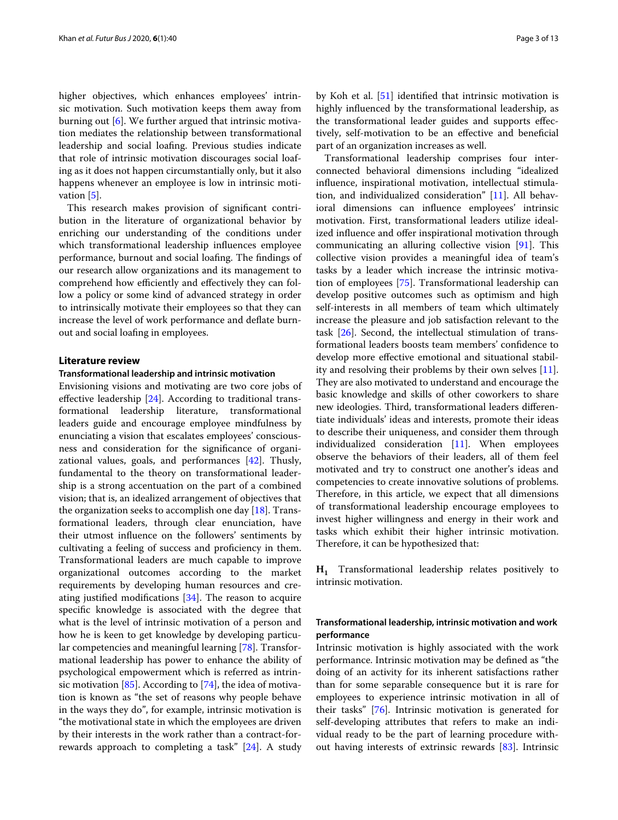higher objectives, which enhances employees' intrinsic motivation. Such motivation keeps them away from burning out [\[6](#page-10-9)]. We further argued that intrinsic motivation mediates the relationship between transformational leadership and social loafng. Previous studies indicate that role of intrinsic motivation discourages social loafing as it does not happen circumstantially only, but it also happens whenever an employee is low in intrinsic moti-vation [[5\]](#page-10-6).

This research makes provision of signifcant contribution in the literature of organizational behavior by enriching our understanding of the conditions under which transformational leadership infuences employee performance, burnout and social loafng. The fndings of our research allow organizations and its management to comprehend how efficiently and effectively they can follow a policy or some kind of advanced strategy in order to intrinsically motivate their employees so that they can increase the level of work performance and defate burnout and social loafng in employees.

## **Literature review**

#### **Transformational leadership and intrinsic motivation**

Envisioning visions and motivating are two core jobs of efective leadership [[24\]](#page-11-13). According to traditional transformational leadership literature, transformational leaders guide and encourage employee mindfulness by enunciating a vision that escalates employees' consciousness and consideration for the signifcance of organizational values, goals, and performances [[42\]](#page-11-14). Thusly, fundamental to the theory on transformational leadership is a strong accentuation on the part of a combined vision; that is, an idealized arrangement of objectives that the organization seeks to accomplish one day [\[18](#page-10-10)]. Transformational leaders, through clear enunciation, have their utmost infuence on the followers' sentiments by cultivating a feeling of success and profciency in them. Transformational leaders are much capable to improve organizational outcomes according to the market requirements by developing human resources and creating justifed modifcations [\[34](#page-11-15)]. The reason to acquire specifc knowledge is associated with the degree that what is the level of intrinsic motivation of a person and how he is keen to get knowledge by developing particular competencies and meaningful learning [\[78](#page-12-8)]. Transformational leadership has power to enhance the ability of psychological empowerment which is referred as intrinsic motivation  $[85]$ . According to  $[74]$  $[74]$ , the idea of motivation is known as "the set of reasons why people behave in the ways they do", for example, intrinsic motivation is "the motivational state in which the employees are driven by their interests in the work rather than a contract-forrewards approach to completing a task" [\[24\]](#page-11-13). A study by Koh et al. [[51](#page-11-17)] identifed that intrinsic motivation is highly infuenced by the transformational leadership, as the transformational leader guides and supports efectively, self-motivation to be an efective and benefcial part of an organization increases as well.

Transformational leadership comprises four interconnected behavioral dimensions including "idealized infuence, inspirational motivation, intellectual stimulation, and individualized consideration" [\[11](#page-10-11)]. All behavioral dimensions can infuence employees' intrinsic motivation. First, transformational leaders utilize idealized influence and offer inspirational motivation through communicating an alluring collective vision [\[91](#page-12-9)]. This collective vision provides a meaningful idea of team's tasks by a leader which increase the intrinsic motivation of employees [\[75\]](#page-11-18). Transformational leadership can develop positive outcomes such as optimism and high self-interests in all members of team which ultimately increase the pleasure and job satisfaction relevant to the task [[26](#page-11-19)]. Second, the intellectual stimulation of transformational leaders boosts team members' confdence to develop more efective emotional and situational stability and resolving their problems by their own selves [\[11](#page-10-11)]. They are also motivated to understand and encourage the basic knowledge and skills of other coworkers to share new ideologies. Third, transformational leaders diferentiate individuals' ideas and interests, promote their ideas to describe their uniqueness, and consider them through individualized consideration  $[11]$  $[11]$ . When employees observe the behaviors of their leaders, all of them feel motivated and try to construct one another's ideas and competencies to create innovative solutions of problems. Therefore, in this article, we expect that all dimensions of transformational leadership encourage employees to invest higher willingness and energy in their work and tasks which exhibit their higher intrinsic motivation. Therefore, it can be hypothesized that:

**H1** Transformational leadership relates positively to intrinsic motivation.

## **Transformational leadership, intrinsic motivation and work performance**

Intrinsic motivation is highly associated with the work performance. Intrinsic motivation may be defned as "the doing of an activity for its inherent satisfactions rather than for some separable consequence but it is rare for employees to experience intrinsic motivation in all of their tasks" [[76\]](#page-11-20). Intrinsic motivation is generated for self-developing attributes that refers to make an individual ready to be the part of learning procedure without having interests of extrinsic rewards  $[83]$  $[83]$ . Intrinsic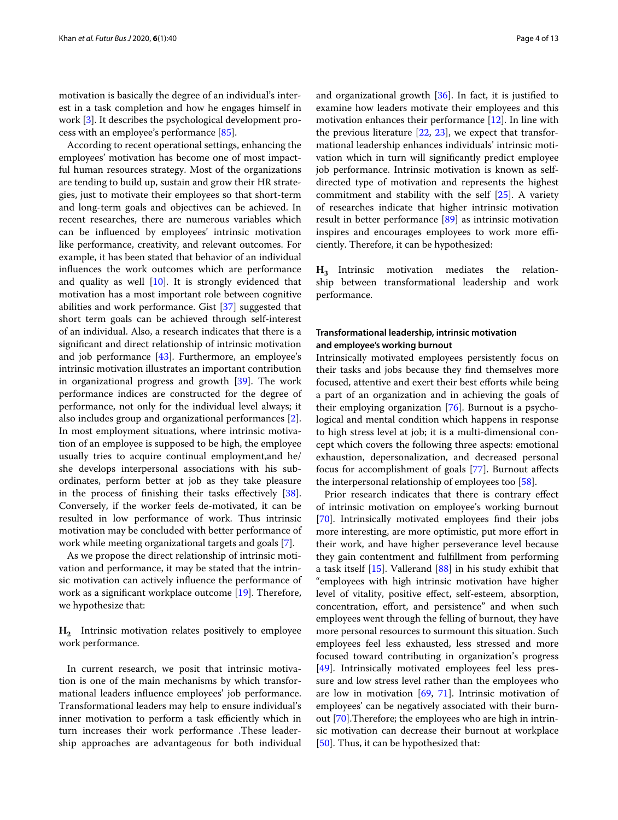motivation is basically the degree of an individual's interest in a task completion and how he engages himself in work [[3\]](#page-10-12). It describes the psychological development process with an employee's performance [\[85](#page-12-2)].

According to recent operational settings, enhancing the employees' motivation has become one of most impactful human resources strategy. Most of the organizations are tending to build up, sustain and grow their HR strategies, just to motivate their employees so that short-term and long-term goals and objectives can be achieved. In recent researches, there are numerous variables which can be infuenced by employees' intrinsic motivation like performance, creativity, and relevant outcomes. For example, it has been stated that behavior of an individual infuences the work outcomes which are performance and quality as well  $[10]$  $[10]$ . It is strongly evidenced that motivation has a most important role between cognitive abilities and work performance. Gist [[37\]](#page-11-21) suggested that short term goals can be achieved through self-interest of an individual. Also, a research indicates that there is a signifcant and direct relationship of intrinsic motivation and job performance [[43\]](#page-11-22). Furthermore, an employee's intrinsic motivation illustrates an important contribution in organizational progress and growth [[39\]](#page-11-23). The work performance indices are constructed for the degree of performance, not only for the individual level always; it also includes group and organizational performances [\[2](#page-10-14)]. In most employment situations, where intrinsic motivation of an employee is supposed to be high, the employee usually tries to acquire continual employment,and he/ she develops interpersonal associations with his subordinates, perform better at job as they take pleasure in the process of fnishing their tasks efectively [\[38](#page-11-24)]. Conversely, if the worker feels de-motivated, it can be resulted in low performance of work. Thus intrinsic motivation may be concluded with better performance of work while meeting organizational targets and goals [[7\]](#page-10-15).

As we propose the direct relationship of intrinsic motivation and performance, it may be stated that the intrinsic motivation can actively infuence the performance of work as a signifcant workplace outcome [\[19](#page-10-16)]. Therefore, we hypothesize that:

**H2** Intrinsic motivation relates positively to employee work performance.

In current research, we posit that intrinsic motivation is one of the main mechanisms by which transformational leaders infuence employees' job performance. Transformational leaders may help to ensure individual's inner motivation to perform a task efficiently which in turn increases their work performance .These leadership approaches are advantageous for both individual and organizational growth [[36\]](#page-11-25). In fact, it is justifed to examine how leaders motivate their employees and this motivation enhances their performance [\[12](#page-10-2)]. In line with the previous literature  $[22, 23]$  $[22, 23]$  $[22, 23]$  $[22, 23]$  $[22, 23]$ , we expect that transformational leadership enhances individuals' intrinsic motivation which in turn will signifcantly predict employee job performance. Intrinsic motivation is known as selfdirected type of motivation and represents the highest commitment and stability with the self [\[25\]](#page-11-26). A variety of researches indicate that higher intrinsic motivation result in better performance [[89\]](#page-12-11) as intrinsic motivation inspires and encourages employees to work more efficiently. Therefore, it can be hypothesized:

**H3** Intrinsic motivation mediates the relationship between transformational leadership and work performance.

## **Transformational leadership, intrinsic motivation and employee's working burnout**

Intrinsically motivated employees persistently focus on their tasks and jobs because they fnd themselves more focused, attentive and exert their best efforts while being a part of an organization and in achieving the goals of their employing organization [\[76](#page-11-20)]. Burnout is a psychological and mental condition which happens in response to high stress level at job; it is a multi-dimensional concept which covers the following three aspects: emotional exhaustion, depersonalization, and decreased personal focus for accomplishment of goals [[77\]](#page-12-12). Burnout afects the interpersonal relationship of employees too [[58](#page-11-27)].

Prior research indicates that there is contrary efect of intrinsic motivation on employee's working burnout [[70\]](#page-11-28). Intrinsically motivated employees fnd their jobs more interesting, are more optimistic, put more effort in their work, and have higher perseverance level because they gain contentment and fulfllment from performing a task itself [\[15\]](#page-10-19). Vallerand [[88\]](#page-12-13) in his study exhibit that "employees with high intrinsic motivation have higher level of vitality, positive efect, self-esteem, absorption, concentration, effort, and persistence" and when such employees went through the felling of burnout, they have more personal resources to surmount this situation. Such employees feel less exhausted, less stressed and more focused toward contributing in organization's progress [[49\]](#page-11-29). Intrinsically motivated employees feel less pressure and low stress level rather than the employees who are low in motivation  $[69, 71]$  $[69, 71]$  $[69, 71]$  $[69, 71]$  $[69, 71]$ . Intrinsic motivation of employees' can be negatively associated with their burnout [\[70\]](#page-11-28).Therefore; the employees who are high in intrinsic motivation can decrease their burnout at workplace [[50\]](#page-11-32). Thus, it can be hypothesized that: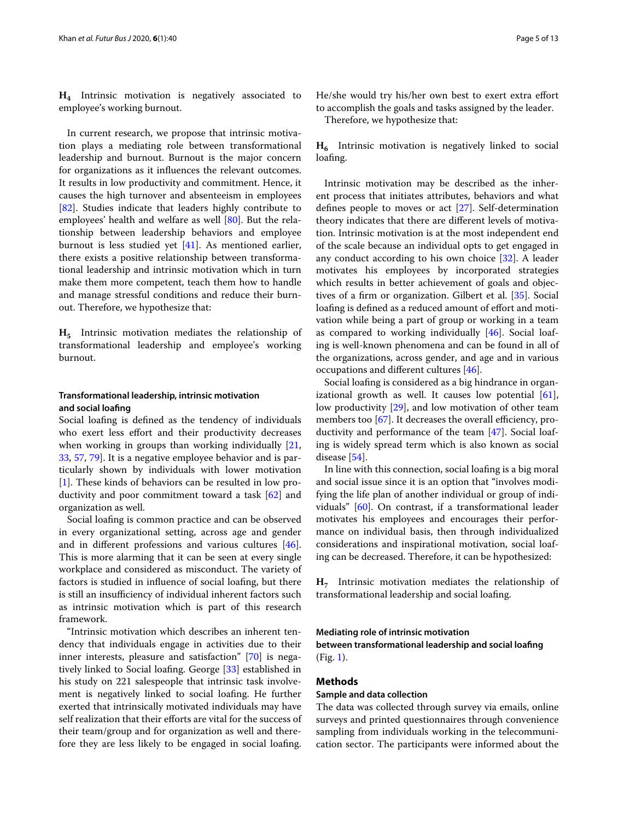**H4** Intrinsic motivation is negatively associated to employee's working burnout.

In current research, we propose that intrinsic motivation plays a mediating role between transformational leadership and burnout. Burnout is the major concern for organizations as it infuences the relevant outcomes. It results in low productivity and commitment. Hence, it causes the high turnover and absenteeism in employees [[82\]](#page-12-6). Studies indicate that leaders highly contribute to employees' health and welfare as well [\[80](#page-12-14)]. But the relationship between leadership behaviors and employee burnout is less studied yet [[41](#page-11-33)]. As mentioned earlier, there exists a positive relationship between transformational leadership and intrinsic motivation which in turn make them more competent, teach them how to handle and manage stressful conditions and reduce their burnout. Therefore, we hypothesize that:

**H5** Intrinsic motivation mediates the relationship of transformational leadership and employee's working burnout.

## **Transformational leadership, intrinsic motivation and social loafng**

Social loafng is defned as the tendency of individuals who exert less effort and their productivity decreases when working in groups than working individually [\[21](#page-10-20), [33,](#page-11-34) [57](#page-11-35), [79](#page-12-15)]. It is a negative employee behavior and is particularly shown by individuals with lower motivation [[1\]](#page-10-21). These kinds of behaviors can be resulted in low productivity and poor commitment toward a task [[62\]](#page-11-36) and organization as well.

Social loafng is common practice and can be observed in every organizational setting, across age and gender and in diferent professions and various cultures [\[46](#page-11-37)]. This is more alarming that it can be seen at every single workplace and considered as misconduct. The variety of factors is studied in infuence of social loafng, but there is still an insufficiency of individual inherent factors such as intrinsic motivation which is part of this research framework.

"Intrinsic motivation which describes an inherent tendency that individuals engage in activities due to their inner interests, pleasure and satisfaction" [[70\]](#page-11-28) is negatively linked to Social loafng. George [\[33\]](#page-11-34) established in his study on 221 salespeople that intrinsic task involvement is negatively linked to social loafng. He further exerted that intrinsically motivated individuals may have self realization that their efforts are vital for the success of their team/group and for organization as well and therefore they are less likely to be engaged in social loafng. He/she would try his/her own best to exert extra effort to accomplish the goals and tasks assigned by the leader.

Therefore, we hypothesize that:

H<sub>6</sub> Intrinsic motivation is negatively linked to social loafng.

Intrinsic motivation may be described as the inherent process that initiates attributes, behaviors and what defnes people to moves or act [\[27](#page-11-38)]. Self-determination theory indicates that there are diferent levels of motivation. Intrinsic motivation is at the most independent end of the scale because an individual opts to get engaged in any conduct according to his own choice [\[32](#page-11-39)]. A leader motivates his employees by incorporated strategies which results in better achievement of goals and objectives of a frm or organization. Gilbert et al. [[35\]](#page-11-40). Social loafing is defined as a reduced amount of effort and motivation while being a part of group or working in a team as compared to working individually [[46\]](#page-11-37). Social loafing is well-known phenomena and can be found in all of the organizations, across gender, and age and in various occupations and diferent cultures [[46](#page-11-37)].

Social loafng is considered as a big hindrance in organizational growth as well. It causes low potential  $[61]$  $[61]$ , low productivity [[29\]](#page-11-42), and low motivation of other team members too  $[67]$  $[67]$ . It decreases the overall efficiency, productivity and performance of the team [[47](#page-11-44)]. Social loafing is widely spread term which is also known as social disease [\[54\]](#page-11-45).

In line with this connection, social loafng is a big moral and social issue since it is an option that "involves modifying the life plan of another individual or group of individuals" [[60](#page-11-46)]. On contrast, if a transformational leader motivates his employees and encourages their performance on individual basis, then through individualized considerations and inspirational motivation, social loafing can be decreased. Therefore, it can be hypothesized:

**H7** Intrinsic motivation mediates the relationship of transformational leadership and social loafng.

#### **Mediating role of intrinsic motivation**

**between transformational leadership and social loafng** (Fig. [1\)](#page-5-0).

## **Methods**

## **Sample and data collection**

The data was collected through survey via emails, online surveys and printed questionnaires through convenience sampling from individuals working in the telecommunication sector. The participants were informed about the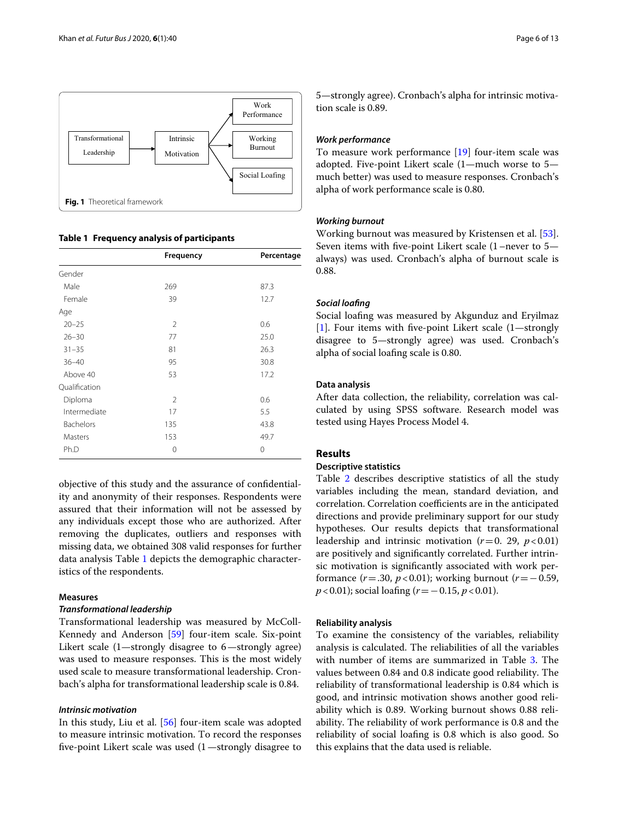

<span id="page-5-1"></span><span id="page-5-0"></span>**Table 1 Frequency analysis of participants**

|                  | Frequency      | Percentage |
|------------------|----------------|------------|
| Gender           |                |            |
| Male             | 269            | 87.3       |
| Female           | 39             | 12.7       |
| Age              |                |            |
| $20 - 25$        | $\overline{2}$ | 0.6        |
| $26 - 30$        | 77             | 25.0       |
| $31 - 35$        | 81             | 26.3       |
| $36 - 40$        | 95             | 30.8       |
| Above 40         | 53             | 17.2       |
| Qualification    |                |            |
| Diploma          | $\overline{2}$ | 0.6        |
| Intermediate     | 17             | 5.5        |
| <b>Bachelors</b> | 135            | 43.8       |
| Masters          | 153            | 49.7       |
| Ph.D             | 0              | 0          |

objective of this study and the assurance of confdentiality and anonymity of their responses. Respondents were assured that their information will not be assessed by any individuals except those who are authorized. After removing the duplicates, outliers and responses with missing data, we obtained 308 valid responses for further data analysis Table [1](#page-5-1) depicts the demographic characteristics of the respondents.

#### **Measures**

## *Transformational leadership*

Transformational leadership was measured by McColl-Kennedy and Anderson [\[59\]](#page-11-47) four-item scale. Six-point Likert scale (1—strongly disagree to 6—strongly agree) was used to measure responses. This is the most widely used scale to measure transformational leadership. Cronbach's alpha for transformational leadership scale is 0.84.

#### *Intrinsic motivation*

In this study, Liu et al. [\[56](#page-11-48)] four-item scale was adopted to measure intrinsic motivation. To record the responses fve-point Likert scale was used (1—strongly disagree to 5—strongly agree). Cronbach's alpha for intrinsic motivation scale is 0.89.

## *Work performance*

To measure work performance [[19\]](#page-10-16) four-item scale was adopted. Five-point Likert scale (1—much worse to 5 much better) was used to measure responses. Cronbach's alpha of work performance scale is 0.80.

## *Working burnout*

Working burnout was measured by Kristensen et al. [\[53](#page-11-49)]. Seven items with fve-point Likert scale (1–never to 5 always) was used. Cronbach's alpha of burnout scale is 0.88.

#### *Social loafng*

Social loafng was measured by Akgunduz and Eryilmaz [[1\]](#page-10-21). Four items with fve-point Likert scale (1—strongly disagree to 5—strongly agree) was used. Cronbach's alpha of social loafng scale is 0.80.

## **Data analysis**

After data collection, the reliability, correlation was calculated by using SPSS software. Research model was tested using Hayes Process Model 4.

#### **Results**

#### **Descriptive statistics**

Table [2](#page-6-0) describes descriptive statistics of all the study variables including the mean, standard deviation, and correlation. Correlation coefficients are in the anticipated directions and provide preliminary support for our study hypotheses. Our results depicts that transformational leadership and intrinsic motivation  $(r=0. 29, p<0.01)$ are positively and signifcantly correlated. Further intrinsic motivation is signifcantly associated with work performance  $(r=.30, p<0.01)$ ; working burnout  $(r=-0.59,$ *p* < 0.01); social loafing (*r* = −0.15, *p* < 0.01).

#### **Reliability analysis**

To examine the consistency of the variables, reliability analysis is calculated. The reliabilities of all the variables with number of items are summarized in Table [3](#page-6-1). The values between 0.84 and 0.8 indicate good reliability. The reliability of transformational leadership is 0.84 which is good, and intrinsic motivation shows another good reliability which is 0.89. Working burnout shows 0.88 reliability. The reliability of work performance is 0.8 and the reliability of social loafng is 0.8 which is also good. So this explains that the data used is reliable.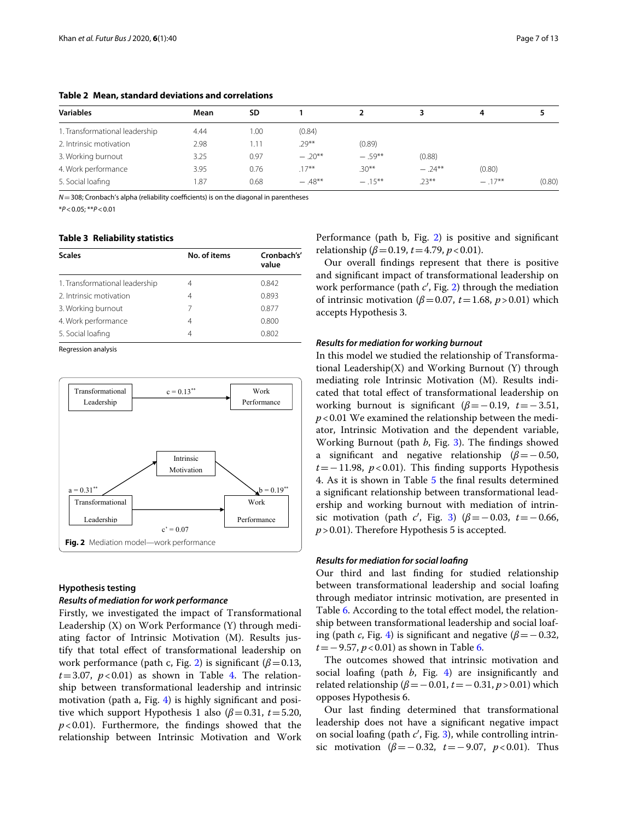| <b>Variables</b>               | Mean | SD   |          |          |          |         |        |
|--------------------------------|------|------|----------|----------|----------|---------|--------|
|                                |      |      |          |          |          |         |        |
| 1. Transformational leadership | 4.44 | 1.00 | (0.84)   |          |          |         |        |
| 2. Intrinsic motivation        | 2.98 | 1.11 | $.29***$ | (0.89)   |          |         |        |
| 3. Working burnout             | 3.25 | 0.97 | $-.20**$ | $-59**$  | (0.88)   |         |        |
| 4. Work performance            | 3.95 | 0.76 | $.17***$ | $.30**$  | $-.24**$ | (0.80)  |        |
| 5. Social loafing              | .87  | 0.68 | $-.48**$ | $-15***$ | $.23***$ | $-17**$ | (0.80) |

<span id="page-6-0"></span>**Table 2 Mean, standard deviations and correlations**

*N*=308; Cronbach's alpha (reliability coefficients) is on the diagonal in parentheses

\**P*<0.05; \*\**P*<0.01

#### <span id="page-6-1"></span>**Table 3 Reliability statistics**

| <b>Scales</b>                  | No. of items | Cronbach's'<br>value |
|--------------------------------|--------------|----------------------|
| 1. Transformational leadership | 4            | 0.842                |
| 2. Intrinsic motivation        | 4            | 0.893                |
| 3. Working burnout             | 7            | 0.877                |
| 4. Work performance            | 4            | 0.800                |
| 5. Social loafing              | 4            | 0.802                |

Regression analysis



#### <span id="page-6-2"></span>**Hypothesis testing**

#### *Results of mediation for work performance*

Firstly, we investigated the impact of Transformational Leadership (X) on Work Performance (Y) through mediating factor of Intrinsic Motivation (M). Results justify that total efect of transformational leadership on work performance (path c, Fig. [2](#page-6-2)) is signifcant (*β*=0.13,  $t=3.07$ ,  $p<0.01$ ) as shown in Table [4.](#page-7-0) The relationship between transformational leadership and intrinsic motivation (path a, Fig. [4](#page-9-0)) is highly signifcant and positive which support Hypothesis 1 also  $(\beta = 0.31, t = 5.20,$  $p$ <0.01). Furthermore, the findings showed that the relationship between Intrinsic Motivation and Work

Performance (path b, Fig. [2\)](#page-6-2) is positive and signifcant relationship ( $\beta$ =0.19, *t*=4.79, *p* < 0.01).

Our overall fndings represent that there is positive and signifcant impact of transformational leadership on work performance (path *c*′, Fig. [2](#page-6-2)) through the mediation of intrinsic motivation ( $\beta$ =0.07, *t*=1.68, *p*>0.01) which accepts Hypothesis 3.

#### *Results for mediation for working burnout*

In this model we studied the relationship of Transformational Leadership $(X)$  and Working Burnout  $(Y)$  through mediating role Intrinsic Motivation (M). Results indicated that total efect of transformational leadership on working burnout is significant  $(\beta = -0.19, t = -3.51,$ *p*<0.01 We examined the relationship between the mediator, Intrinsic Motivation and the dependent variable, Working Burnout (path *b*, Fig. [3](#page-7-1)). The fndings showed a signifcant and negative relationship (*β*=−0.50, *t*=−11.98, *p*<0.01). This fnding supports Hypothesis 4. As it is shown in Table [5](#page-8-0) the fnal results determined a signifcant relationship between transformational leadership and working burnout with mediation of intrinsic motivation (path *c*′, Fig. [3\)](#page-7-1) (*β*=−0.03, *t*=−0.66, *p*>0.01). Therefore Hypothesis 5 is accepted.

#### *Results for mediation forsocial loafng*

Our third and last fnding for studied relationship between transformational leadership and social loafng through mediator intrinsic motivation, are presented in Table [6](#page-8-1). According to the total efect model, the relationship between transformational leadership and social loafing (path *c*, Fig. [4\)](#page-9-0) is significant and negative  $(\beta = -0.32,$ *t*=−9.57, *p*<0.01) as shown in Table [6](#page-8-1).

The outcomes showed that intrinsic motivation and social loafing (path  $b$ , Fig. [4\)](#page-9-0) are insignificantly and related relationship ( $\beta$ =−0.01, *t* =−0.31, *p*>0.01) which opposes Hypothesis 6.

Our last fnding determined that transformational leadership does not have a signifcant negative impact on social loafng (path *c*′, Fig. [3\)](#page-7-1), while controlling intrinsic motivation (*β*=−0.32, *t*=−9.07, *p*<0.01). Thus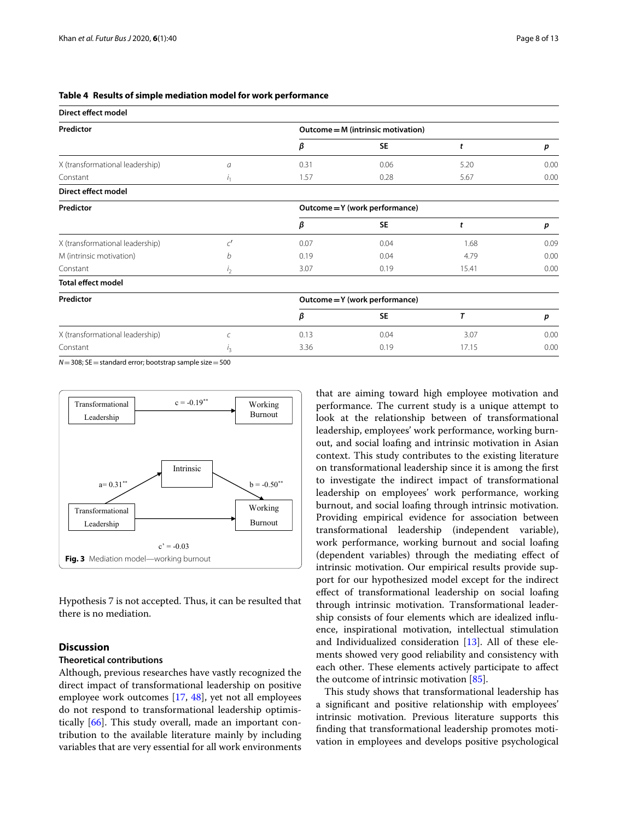| <b>Direct effect model</b>      |       |      |                                    |       |      |
|---------------------------------|-------|------|------------------------------------|-------|------|
| Predictor                       |       |      | Outcome = M (intrinsic motivation) |       |      |
|                                 |       | β    | <b>SE</b>                          | t     | р    |
| X (transformational leadership) | a     | 0.31 | 0.06                               | 5.20  | 0.00 |
| Constant                        | Iı    | 1.57 | 0.28                               | 5.67  | 0.00 |
| <b>Direct effect model</b>      |       |      |                                    |       |      |
| Predictor                       |       |      | Outcome = Y (work performance)     |       |      |
|                                 |       | β    | <b>SE</b>                          | t     | p    |
| X (transformational leadership) |       | 0.07 | 0.04                               | 1.68  | 0.09 |
| M (intrinsic motivation)        | h     | 0.19 | 0.04                               | 4.79  | 0.00 |
| Constant                        | $l_2$ | 3.07 | 0.19                               | 15.41 | 0.00 |
| <b>Total effect model</b>       |       |      |                                    |       |      |
| Predictor                       |       |      | Outcome = Y (work performance)     |       |      |
|                                 |       | β    | <b>SE</b>                          | T     | p    |
| X (transformational leadership) | C     | 0.13 | 0.04                               | 3.07  | 0.00 |
| Constant                        | $l_3$ | 3.36 | 0.19                               | 17.15 | 0.00 |

<span id="page-7-0"></span>**Table 4 Results of simple mediation model for work performance**

 $N$  = 308; SE = standard error; bootstrap sample size = 500



<span id="page-7-1"></span>Hypothesis 7 is not accepted. Thus, it can be resulted that there is no mediation.

## **Discussion**

## **Theoretical contributions**

Although, previous researches have vastly recognized the direct impact of transformational leadership on positive employee work outcomes [[17,](#page-10-22) [48](#page-11-50)], yet not all employees do not respond to transformational leadership optimistically [[66\]](#page-11-51). This study overall, made an important contribution to the available literature mainly by including variables that are very essential for all work environments that are aiming toward high employee motivation and performance. The current study is a unique attempt to look at the relationship between of transformational leadership, employees' work performance, working burnout, and social loafng and intrinsic motivation in Asian context. This study contributes to the existing literature on transformational leadership since it is among the frst to investigate the indirect impact of transformational leadership on employees' work performance, working burnout, and social loafng through intrinsic motivation. Providing empirical evidence for association between transformational leadership (independent variable), work performance, working burnout and social loafng (dependent variables) through the mediating efect of intrinsic motivation. Our empirical results provide support for our hypothesized model except for the indirect efect of transformational leadership on social loafng through intrinsic motivation. Transformational leadership consists of four elements which are idealized infuence, inspirational motivation, intellectual stimulation and Individualized consideration [[13\]](#page-10-3). All of these elements showed very good reliability and consistency with each other. These elements actively participate to afect the outcome of intrinsic motivation [\[85](#page-12-2)].

This study shows that transformational leadership has a signifcant and positive relationship with employees' intrinsic motivation. Previous literature supports this fnding that transformational leadership promotes motivation in employees and develops positive psychological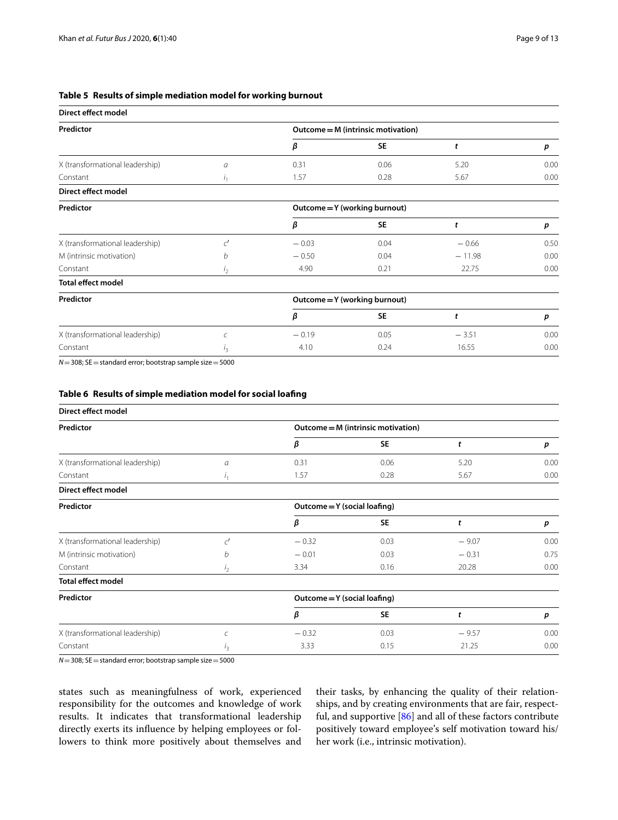## <span id="page-8-0"></span>**Table 5 Results of simple mediation model for working burnout**

| Direct effect model             |  |                                    |      |      |      |  |
|---------------------------------|--|------------------------------------|------|------|------|--|
| Predictor                       |  | Outcome = M (intrinsic motivation) |      |      |      |  |
|                                 |  |                                    | SΕ   |      |      |  |
| X (transformational leadership) |  | 0.31                               | 0.06 | 5.20 | 0.00 |  |
| Constant                        |  | 1.57                               | 0.28 | 5.67 | 0.00 |  |

|  |  | Direct effect model |
|--|--|---------------------|
|--|--|---------------------|

| Predictor                       |       | Outcome = Y (working burnout) |                               |          |      |  |
|---------------------------------|-------|-------------------------------|-------------------------------|----------|------|--|
|                                 |       |                               | <b>SE</b>                     |          | p    |  |
| X (transformational leadership) |       | $-0.03$                       | 0.04                          | $-0.66$  | 0.50 |  |
| M (intrinsic motivation)        | h     | $-0.50$                       | 0.04                          | $-11.98$ | 0.00 |  |
| Constant                        | 12    | 4.90                          | 0.21                          | 22.75    | 0.00 |  |
| <b>Total effect model</b>       |       |                               |                               |          |      |  |
| Predictor                       |       |                               | Outcome = Y (working burnout) |          |      |  |
|                                 |       |                               | <b>SE</b>                     |          | р    |  |
| X (transformational leadership) |       | $-0.19$                       | 0.05                          | $-3.51$  | 0.00 |  |
| Constant                        | $l_3$ | 4.10                          | 0.24                          | 16.55    | 0.00 |  |

*N*=308; SE=standard error; bootstrap sample size=5000

## <span id="page-8-1"></span>**Table 6 Results of simple mediation model for social loafng**

| Direct effect model             |                |                                    |           |         |      |  |
|---------------------------------|----------------|------------------------------------|-----------|---------|------|--|
| Predictor                       |                | Outcome = M (intrinsic motivation) |           |         |      |  |
|                                 |                | β                                  | <b>SE</b> | t       | р    |  |
| X (transformational leadership) | a              | 0.31                               | 0.06      | 5.20    | 0.00 |  |
| Constant                        | I <sub>1</sub> | 1.57                               | 0.28      | 5.67    | 0.00 |  |
| Direct effect model             |                |                                    |           |         |      |  |
| Predictor                       |                | Outcome = Y (social loafing)       |           |         |      |  |
|                                 |                | β                                  | <b>SE</b> | t       | p    |  |
| X (transformational leadership) | $\epsilon'$    | $-0.32$                            | 0.03      | $-9.07$ | 0.00 |  |
| M (intrinsic motivation)        | h              | $-0.01$                            | 0.03      | $-0.31$ | 0.75 |  |
| Constant                        | $l_2$          | 3.34                               | 0.16      | 20.28   | 0.00 |  |
| <b>Total effect model</b>       |                |                                    |           |         |      |  |
| Predictor                       |                | Outcome = Y (social loafing)       |           |         |      |  |
|                                 |                | β                                  | <b>SE</b> | t       | р    |  |
| X (transformational leadership) | C              | $-0.32$                            | 0.03      | $-9.57$ | 0.00 |  |
| Constant                        | $l_3$          | 3.33                               | 0.15      | 21.25   | 0.00 |  |

*N*=308; SE=standard error; bootstrap sample size=5000

states such as meaningfulness of work, experienced responsibility for the outcomes and knowledge of work results. It indicates that transformational leadership directly exerts its infuence by helping employees or followers to think more positively about themselves and

their tasks, by enhancing the quality of their relationships, and by creating environments that are fair, respectful, and supportive [[86](#page-12-16)] and all of these factors contribute positively toward employee's self motivation toward his/ her work (i.e., intrinsic motivation).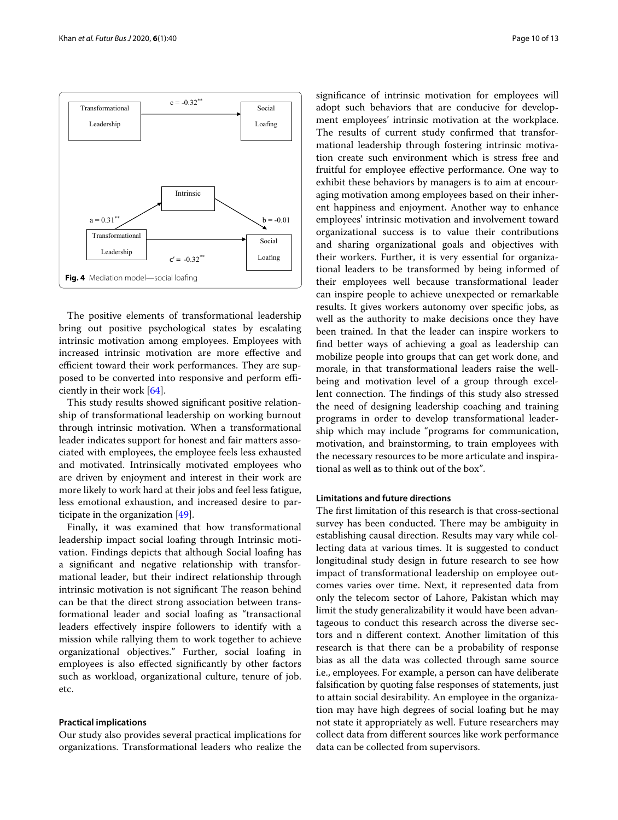

<span id="page-9-0"></span>The positive elements of transformational leadership bring out positive psychological states by escalating intrinsic motivation among employees. Employees with increased intrinsic motivation are more efective and efficient toward their work performances. They are supposed to be converted into responsive and perform efficiently in their work [[64\]](#page-11-52).

This study results showed signifcant positive relationship of transformational leadership on working burnout through intrinsic motivation. When a transformational leader indicates support for honest and fair matters associated with employees, the employee feels less exhausted and motivated. Intrinsically motivated employees who are driven by enjoyment and interest in their work are more likely to work hard at their jobs and feel less fatigue, less emotional exhaustion, and increased desire to participate in the organization [\[49\]](#page-11-29).

Finally, it was examined that how transformational leadership impact social loafng through Intrinsic motivation. Findings depicts that although Social loafng has a signifcant and negative relationship with transformational leader, but their indirect relationship through intrinsic motivation is not signifcant The reason behind can be that the direct strong association between transformational leader and social loafng as "transactional leaders efectively inspire followers to identify with a mission while rallying them to work together to achieve organizational objectives." Further, social loafng in employees is also efected signifcantly by other factors such as workload, organizational culture, tenure of job. etc.

## **Practical implications**

Our study also provides several practical implications for organizations. Transformational leaders who realize the signifcance of intrinsic motivation for employees will adopt such behaviors that are conducive for development employees' intrinsic motivation at the workplace. The results of current study confrmed that transformational leadership through fostering intrinsic motivation create such environment which is stress free and fruitful for employee efective performance. One way to exhibit these behaviors by managers is to aim at encouraging motivation among employees based on their inherent happiness and enjoyment. Another way to enhance employees' intrinsic motivation and involvement toward organizational success is to value their contributions and sharing organizational goals and objectives with their workers. Further, it is very essential for organizational leaders to be transformed by being informed of their employees well because transformational leader can inspire people to achieve unexpected or remarkable results. It gives workers autonomy over specifc jobs, as well as the authority to make decisions once they have been trained. In that the leader can inspire workers to fnd better ways of achieving a goal as leadership can mobilize people into groups that can get work done, and morale, in that transformational leaders raise the wellbeing and motivation level of a group through excellent connection. The fndings of this study also stressed the need of designing leadership coaching and training programs in order to develop transformational leadership which may include "programs for communication, motivation, and brainstorming, to train employees with the necessary resources to be more articulate and inspirational as well as to think out of the box".

# **Limitations and future directions**

The frst limitation of this research is that cross-sectional survey has been conducted. There may be ambiguity in establishing causal direction. Results may vary while collecting data at various times. It is suggested to conduct longitudinal study design in future research to see how impact of transformational leadership on employee outcomes varies over time. Next, it represented data from only the telecom sector of Lahore, Pakistan which may limit the study generalizability it would have been advantageous to conduct this research across the diverse sectors and n diferent context. Another limitation of this research is that there can be a probability of response bias as all the data was collected through same source i.e., employees. For example, a person can have deliberate falsifcation by quoting false responses of statements, just to attain social desirability. An employee in the organization may have high degrees of social loafng but he may not state it appropriately as well. Future researchers may collect data from diferent sources like work performance data can be collected from supervisors.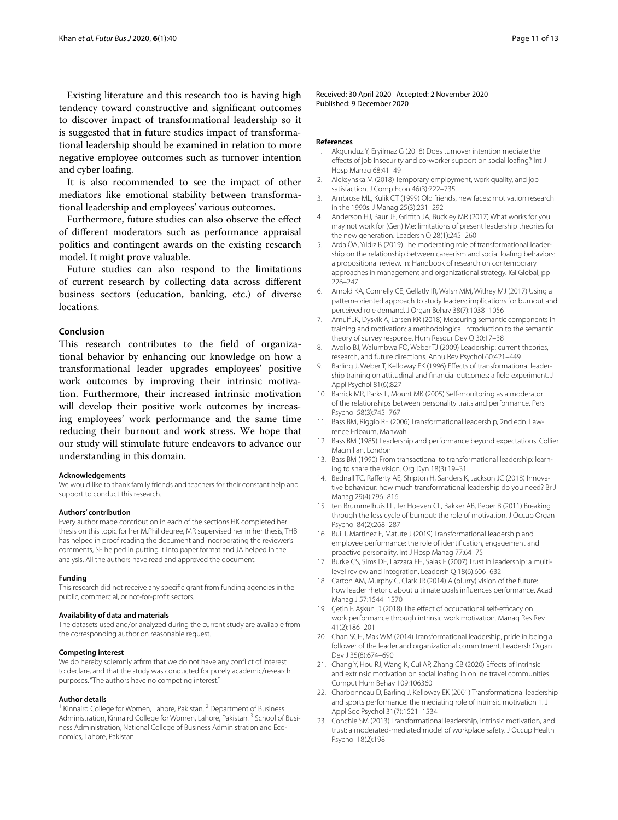Existing literature and this research too is having high tendency toward constructive and signifcant outcomes to discover impact of transformational leadership so it is suggested that in future studies impact of transformational leadership should be examined in relation to more negative employee outcomes such as turnover intention and cyber loafng.

It is also recommended to see the impact of other mediators like emotional stability between transformational leadership and employees' various outcomes.

Furthermore, future studies can also observe the efect of diferent moderators such as performance appraisal politics and contingent awards on the existing research model. It might prove valuable.

Future studies can also respond to the limitations of current research by collecting data across diferent business sectors (education, banking, etc.) of diverse locations.

#### **Conclusion**

This research contributes to the feld of organizational behavior by enhancing our knowledge on how a transformational leader upgrades employees' positive work outcomes by improving their intrinsic motivation. Furthermore, their increased intrinsic motivation will develop their positive work outcomes by increasing employees' work performance and the same time reducing their burnout and work stress. We hope that our study will stimulate future endeavors to advance our understanding in this domain.

#### **Acknowledgements**

We would like to thank family friends and teachers for their constant help and support to conduct this research.

#### **Authors' contribution**

Every author made contribution in each of the sections.HK completed her thesis on this topic for her M.Phil degree, MR supervised her in her thesis, THB has helped in proof reading the document and incorporating the reviewer's comments, SF helped in putting it into paper format and JA helped in the analysis. All the authors have read and approved the document.

#### **Funding**

This research did not receive any specifc grant from funding agencies in the public, commercial, or not-for-proft sectors.

#### **Availability of data and materials**

The datasets used and/or analyzed during the current study are available from the corresponding author on reasonable request.

#### **Competing interest**

We do hereby solemnly affirm that we do not have any conflict of interest to declare, and that the study was conducted for purely academic/research purposes. "The authors have no competing interest."

#### **Author details**

<sup>1</sup> Kinnaird College for Women, Lahore, Pakistan.<sup>2</sup> Department of Business Administration, Kinnaird College for Women, Lahore, Pakistan.<sup>3</sup> School of Business Administration, National College of Business Administration and Economics, Lahore, Pakistan.

Received: 30 April 2020 Accepted: 2 November 2020 Published: 9 December 2020

#### **References**

- <span id="page-10-21"></span>1. Akgunduz Y, Eryilmaz G (2018) Does turnover intention mediate the efects of job insecurity and co-worker support on social loafng? Int J Hosp Manag 68:41–49
- <span id="page-10-14"></span>2. Aleksynska M (2018) Temporary employment, work quality, and job satisfaction. J Comp Econ 46(3):722–735
- <span id="page-10-12"></span>3. Ambrose ML, Kulik CT (1999) Old friends, new faces: motivation research in the 1990s. J Manag 25(3):231–292
- <span id="page-10-8"></span>4. Anderson HJ, Baur JE, Grifth JA, Buckley MR (2017) What works for you may not work for (Gen) Me: limitations of present leadership theories for the new generation. Leadersh Q 28(1):245–260
- <span id="page-10-6"></span>5. Arda ÖA, Yıldız B (2019) The moderating role of transformational leadership on the relationship between careerism and social loafng behaviors: a propositional review. In: Handbook of research on contemporary approaches in management and organizational strategy. IGI Global, pp 226–247
- <span id="page-10-9"></span>6. Arnold KA, Connelly CE, Gellatly IR, Walsh MM, Withey MJ (2017) Using a pattern-oriented approach to study leaders: implications for burnout and perceived role demand. J Organ Behav 38(7):1038–1056
- <span id="page-10-15"></span>7. Arnulf JK, Dysvik A, Larsen KR (2018) Measuring semantic components in training and motivation: a methodological introduction to the semantic theory of survey response. Hum Resour Dev Q 30:17–38
- <span id="page-10-1"></span>8. Avolio BJ, Walumbwa FO, Weber TJ (2009) Leadership: current theories, research, and future directions. Annu Rev Psychol 60:421–449
- <span id="page-10-7"></span>9. Barling J, Weber T, Kelloway EK (1996) Effects of transformational leadership training on attitudinal and fnancial outcomes: a feld experiment. J Appl Psychol 81(6):827
- <span id="page-10-13"></span>10. Barrick MR, Parks L, Mount MK (2005) Self-monitoring as a moderator of the relationships between personality traits and performance. Pers Psychol 58(3):745–767
- <span id="page-10-11"></span>11. Bass BM, Riggio RE (2006) Transformational leadership, 2nd edn. Lawrence Erlbaum, Mahwah
- <span id="page-10-2"></span>12. Bass BM (1985) Leadership and performance beyond expectations. Collier Macmillan, London
- <span id="page-10-3"></span>13. Bass BM (1990) From transactional to transformational leadership: learning to share the vision. Org Dyn 18(3):19–31
- <span id="page-10-4"></span>14. Bednall TC, Rafferty AE, Shipton H, Sanders K, Jackson JC (2018) Innovative behaviour: how much transformational leadership do you need? Br J Manag 29(4):796–816
- <span id="page-10-19"></span>15. ten Brummelhuis LL, Ter Hoeven CL, Bakker AB, Peper B (2011) Breaking through the loss cycle of burnout: the role of motivation. J Occup Organ Psychol 84(2):268–287
- <span id="page-10-5"></span>16. Buil I, Martínez E, Matute J (2019) Transformational leadership and employee performance: the role of identifcation, engagement and proactive personality. Int J Hosp Manag 77:64–75
- <span id="page-10-22"></span>17. Burke CS, Sims DE, Lazzara EH, Salas E (2007) Trust in leadership: a multilevel review and integration. Leadersh Q 18(6):606–632
- <span id="page-10-10"></span>18. Carton AM, Murphy C, Clark JR (2014) A (blurry) vision of the future: how leader rhetoric about ultimate goals infuences performance. Acad Manag J 57:1544–1570
- <span id="page-10-16"></span>19. Çetin F, Aşkun D (2018) The effect of occupational self-efficacy on work performance through intrinsic work motivation. Manag Res Rev 41(2):186–201
- <span id="page-10-0"></span>20. Chan SCH, Mak WM (2014) Transformational leadership, pride in being a follower of the leader and organizational commitment. Leadersh Organ Dev J 35(8):674–690
- <span id="page-10-20"></span>21. Chang Y, Hou RJ, Wang K, Cui AP, Zhang CB (2020) Efects of intrinsic and extrinsic motivation on social loafng in online travel communities. Comput Hum Behav 109:106360
- <span id="page-10-17"></span>22. Charbonneau D, Barling J, Kelloway EK (2001) Transformational leadership and sports performance: the mediating role of intrinsic motivation 1. J Appl Soc Psychol 31(7):1521–1534
- <span id="page-10-18"></span>23. Conchie SM (2013) Transformational leadership, intrinsic motivation, and trust: a moderated-mediated model of workplace safety. J Occup Health Psychol 18(2):198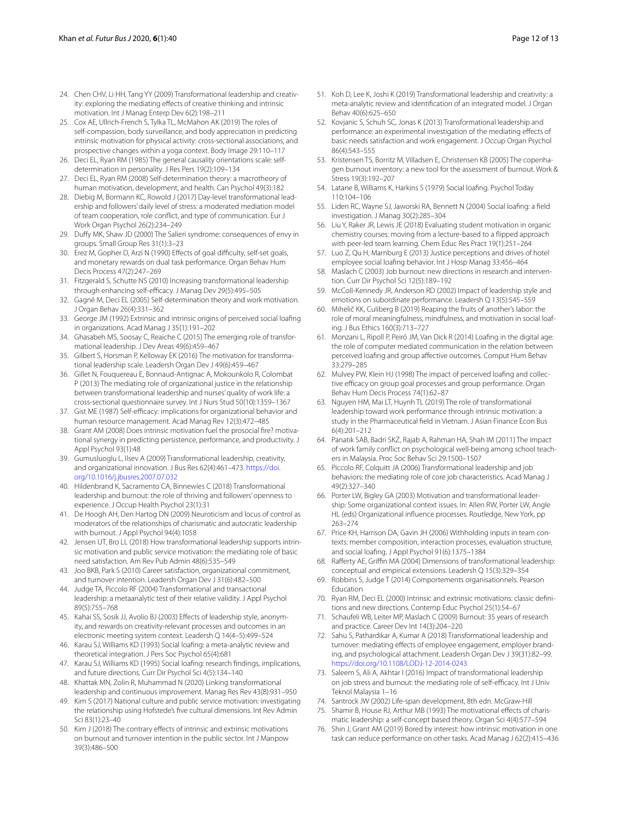- <span id="page-11-13"></span>24. Chen CHV, Li HH, Tang YY (2009) Transformational leadership and creativity: exploring the mediating efects of creative thinking and intrinsic motivation. Int J Manag Enterp Dev 6(2):198–211
- <span id="page-11-26"></span>25. Cox AE, Ullrich-French S, Tylka TL, McMahon AK (2019) The roles of self-compassion, body surveillance, and body appreciation in predicting intrinsic motivation for physical activity: cross-sectional associations, and prospective changes within a yoga context. Body Image 29:110–117
- <span id="page-11-19"></span>26. Deci EL, Ryan RM (1985) The general causality orientations scale: selfdetermination in personality. J Res Pers 19(2):109–134
- <span id="page-11-38"></span>27. Deci EL, Ryan RM (2008) Self-determination theory: a macrotheory of human motivation, development, and health. Can Psychol 49(3):182
- <span id="page-11-7"></span>28. Diebig M, Bormann KC, Rowold J (2017) Day-level transformational leadership and followers' daily level of stress: a moderated mediation model of team cooperation, role confict, and type of communication. Eur J Work Organ Psychol 26(2):234–249
- <span id="page-11-42"></span>29. Dufy MK, Shaw JD (2000) The Salieri syndrome: consequences of envy in groups. Small Group Res 31(1):3–23
- <span id="page-11-11"></span>30. Erez M, Gopher D, Arzi N (1990) Effects of goal difficulty, self-set goals, and monetary rewards on dual task performance. Organ Behav Hum Decis Process 47(2):247–269
- <span id="page-11-12"></span>31. Fitzgerald S, Schutte NS (2010) Increasing transformational leadership through enhancing self-efficacy. J Manag Dev 29(5):495-505
- <span id="page-11-39"></span>32. Gagné M, Deci EL (2005) Self-determination theory and work motivation. J Organ Behav 26(4):331–362
- <span id="page-11-34"></span>33. George JM (1992) Extrinsic and intrinsic origins of perceived social loafng in organizations. Acad Manag J 35(1):191–202
- <span id="page-11-15"></span>34. Ghasabeh MS, Soosay C, Reaiche C (2015) The emerging role of transformational leadership. J Dev Areas 49(6):459–467
- <span id="page-11-40"></span>35. Gilbert S, Horsman P, Kelloway EK (2016) The motivation for transformational leadership scale. Leadersh Organ Dev J 49(6):459–467
- <span id="page-11-25"></span>36. Gillet N, Fouquereau E, Bonnaud-Antignac A, Mokounkolo R, Colombat P (2013) The mediating role of organizational justice in the relationship between transformational leadership and nurses' quality of work life: a cross-sectional questionnaire survey. Int J Nurs Stud 50(10):1359–1367
- <span id="page-11-21"></span>37. Gist ME (1987) Self-efficacy: implications for organizational behavior and human resource management. Acad Manag Rev 12(3):472–485
- <span id="page-11-24"></span>38. Grant AM (2008) Does intrinsic motivation fuel the prosocial fre? motivational synergy in predicting persistence, performance, and productivity. J Appl Psychol 93(1):48
- <span id="page-11-23"></span>39. Gumusluoglu L, Ilsev A (2009) Transformational leadership, creativity, and organizational innovation. J Bus Res 62(4):461–473. [https://doi.](https://doi.org/10.1016/j.jbusres.2007.07.032) [org/10.1016/j.jbusres.2007.07.032](https://doi.org/10.1016/j.jbusres.2007.07.032)
- <span id="page-11-5"></span>40. Hildenbrand K, Sacramento CA, Binnewies C (2018) Transformational leadership and burnout: the role of thriving and followers' openness to experience. J Occup Health Psychol 23(1):31
- <span id="page-11-33"></span>41. De Hoogh AH, Den Hartog DN (2009) Neuroticism and locus of control as moderators of the relationships of charismatic and autocratic leadership with burnout. J Appl Psychol 94(4):1058
- <span id="page-11-14"></span>42. Jensen UT, Bro LL (2018) How transformational leadership supports intrinsic motivation and public service motivation: the mediating role of basic need satisfaction. Am Rev Pub Admin 48(6):535–549
- <span id="page-11-22"></span>43. Joo BKB, Park S (2010) Career satisfaction, organizational commitment, and turnover intention. Leadersh Organ Dev J 31(6):482–500
- <span id="page-11-3"></span>44. Judge TA, Piccolo RF (2004) Transformational and transactional leadership: a metaanalytic test of their relative validity. J Appl Psychol 89(5):755–768
- <span id="page-11-9"></span>45. Kahai SS, Sosik JJ, Avolio BJ (2003) Efects of leadership style, anonymity, and rewards on creativity-relevant processes and outcomes in an electronic meeting system context. Leadersh Q 14(4–5):499–524
- <span id="page-11-37"></span>46. Karau SJ, Williams KD (1993) Social loafng: a meta-analytic review and theoretical integration. J Pers Soc Psychol 65(4):681
- <span id="page-11-44"></span>47. Karau SJ, Williams KD (1995) Social loafng: research fndings, implications, and future directions. Curr Dir Psychol Sci 4(5):134–140
- <span id="page-11-50"></span>48. Khattak MN, Zolin R, Muhammad N (2020) Linking transformational leadership and continuous improvement. Manag Res Rev 43(8):931–950
- <span id="page-11-29"></span>49. Kim S (2017) National culture and public service motivation: investigating the relationship using Hofstede's fve cultural dimensions. Int Rev Admin Sci 83(1):23–40
- <span id="page-11-32"></span>50. Kim J (2018) The contrary efects of intrinsic and extrinsic motivations on burnout and turnover intention in the public sector. Int J Manpow 39(3):486–500
- <span id="page-11-17"></span>51. Koh D, Lee K, Joshi K (2019) Transformational leadership and creativity: a meta-analytic review and identifcation of an integrated model. J Organ Behav 40(6):625–650
- <span id="page-11-4"></span>52. Kovjanic S, Schuh SC, Jonas K (2013) Transformational leadership and performance: an experimental investigation of the mediating efects of basic needs satisfaction and work engagement. J Occup Organ Psychol 86(4):543–555
- <span id="page-11-49"></span>53. Kristensen TS, Borritz M, Villadsen E, Christensen KB (2005) The copenhagen burnout inventory: a new tool for the assessment of burnout. Work & Stress 19(3):192–207
- <span id="page-11-45"></span>54. Latane B, Williams K, Harkins S (1979) Social loafng. Psychol Today 110:104–106
- <span id="page-11-8"></span>55. Liden RC, Wayne SJ, Jaworski RA, Bennett N (2004) Social loafng: a feld investigation. J Manag 30(2):285–304
- <span id="page-11-48"></span>56. Liu Y, Raker JR, Lewis JE (2018) Evaluating student motivation in organic chemistry courses: moving from a lecture-based to a fipped approach with peer-led team learning. Chem Educ Res Pract 19(1):251–264
- <span id="page-11-35"></span>57. Luo Z, Qu H, Marnburg E (2013) Justice perceptions and drives of hotel employee social loafng behavior. Int J Hosp Manag 33:456–464
- <span id="page-11-27"></span>58. Maslach C (2003) Job burnout: new directions in research and intervention. Curr Dir Psychol Sci 12(5):189–192
- <span id="page-11-47"></span>59. McColl-Kennedy JR, Anderson RD (2002) Impact of leadership style and emotions on subordinate performance. Leadersh Q 13(5):545–559
- <span id="page-11-46"></span>60. Mihelič KK, Culiberg B (2019) Reaping the fruits of another's labor: the role of moral meaningfulness, mindfulness, and motivation in social loafing. J Bus Ethics 160(3):713–727
- <span id="page-11-41"></span>61. Monzani L, Ripoll P, Peiró JM, Van Dick R (2014) Loafng in the digital age: the role of computer mediated communication in the relation between perceived loafng and group afective outcomes. Comput Hum Behav 33:279–285
- <span id="page-11-36"></span>62. Mulvey PW, Klein HJ (1998) The impact of perceived loafng and collective efficacy on group goal processes and group performance. Organ Behav Hum Decis Process 74(1):62–87
- <span id="page-11-10"></span>63. Nguyen HM, Mai LT, Huynh TL (2019) The role of transformational leadership toward work performance through intrinsic motivation: a study in the Pharmaceutical feld in Vietnam. J Asian Finance Econ Bus 6(4):201–212
- <span id="page-11-52"></span>64. Panatik SAB, Badri SKZ, Rajab A, Rahman HA, Shah IM (2011) The impact of work family confict on psychological well-being among school teachers in Malaysia. Proc Soc Behav Sci 29:1500–1507
- <span id="page-11-1"></span>65. Piccolo RF, Colquitt JA (2006) Transformational leadership and job behaviors: the mediating role of core job characteristics. Acad Manag J 49(2):327–340
- <span id="page-11-51"></span>66. Porter LW, Bigley GA (2003) Motivation and transformational leadership: Some organizational context issues. In: Allen RW, Porter LW, Angle HL (eds) Organizational infuence processes. Routledge, New York, pp 263–274
- <span id="page-11-43"></span>67. Price KH, Harrison DA, Gavin JH (2006) Withholding inputs in team contexts: member composition, interaction processes, evaluation structure, and social loafng. J Appl Psychol 91(6):1375–1384
- <span id="page-11-2"></span>68. Rafferty AE, Griffin MA (2004) Dimensions of transformational leadership: conceptual and empirical extensions. Leadersh Q 15(3):329–354
- <span id="page-11-30"></span>69. Robbins S, Judge T (2014) Comportements organisationnels. Pearson Education
- <span id="page-11-28"></span>70. Ryan RM, Deci EL (2000) Intrinsic and extrinsic motivations: classic defnitions and new directions. Contemp Educ Psychol 25(1):54–67
- <span id="page-11-31"></span>71. Schaufeli WB, Leiter MP, Maslach C (2009) Burnout: 35 years of research and practice. Career Dev Int 14(3):204–220
- <span id="page-11-0"></span>72. Sahu S, Pathardikar A, Kumar A (2018) Transformational leadership and turnover: mediating effects of employee engagement, employer branding, and psychological attachment. Leadersh Organ Dev J 39(31):82–99. <https://doi.org/10.1108/LODJ-12-2014-0243>
- <span id="page-11-6"></span>73. Saleem S, Ali A, Akhtar I (2016) Impact of transformational leadership on job stress and burnout: the mediating role of self-efficacy. Int J Univ Teknol Malaysia 1–16
- <span id="page-11-16"></span>74. Santrock JW (2002) Life-span development, 8th edn. McGraw-Hill
- <span id="page-11-18"></span>75. Shamir B, House RJ, Arthur MB (1993) The motivational efects of charismatic leadership: a self-concept based theory. Organ Sci 4(4):577–594
- <span id="page-11-20"></span>76. Shin J, Grant AM (2019) Bored by interest: how intrinsic motivation in one task can reduce performance on other tasks. Acad Manag J 62(2):415–436